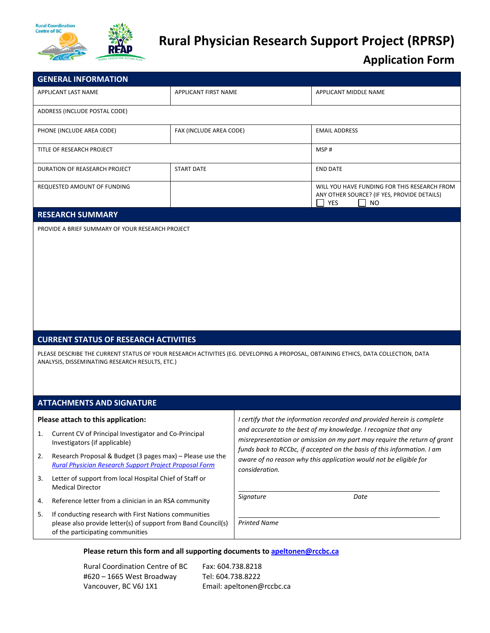

# **Rural Physician Research Support Project (RPRSP)**

## **Application Form**

| <b>GENERAL INFORMATION</b>                       |                         |                                                                                                                        |
|--------------------------------------------------|-------------------------|------------------------------------------------------------------------------------------------------------------------|
| APPLICANT LAST NAME                              | APPLICANT FIRST NAME    | APPLICANT MIDDLE NAME                                                                                                  |
| ADDRESS (INCLUDE POSTAL CODE)                    |                         |                                                                                                                        |
| PHONE (INCLUDE AREA CODE)                        | FAX (INCLUDE AREA CODE) | <b>EMAIL ADDRESS</b>                                                                                                   |
| TITLE OF RESEARCH PROJECT                        |                         | MSP#                                                                                                                   |
| DURATION OF REASEARCH PROJECT                    | <b>START DATE</b>       | <b>END DATE</b>                                                                                                        |
| REQUESTED AMOUNT OF FUNDING                      |                         | WILL YOU HAVE FUNDING FOR THIS RESEARCH FROM<br>ANY OTHER SOURCE? (IF YES, PROVIDE DETAILS)<br><b>YES</b><br><b>NO</b> |
| <b>RESEARCH SUMMARY</b>                          |                         |                                                                                                                        |
| PROVIDE A BRIEF SUMMARY OF YOUR RESEARCH PROJECT |                         |                                                                                                                        |

#### **CURRENT STATUS OF RESEARCH ACTIVITIES**

PLEASE DESCRIBE THE CURRENT STATUS OF YOUR RESEARCH ACTIVITIES (EG. DEVELOPING A PROPOSAL, OBTAINING ETHICS, DATA COLLECTION, DATA ANALYSIS, DISSEMINATING RESEARCH RESULTS, ETC.)

#### **ATTACHMENTS AND SIGNATURE**

#### **Please attach to this application:**

- 1. Current CV of Principal Investigator and Co‐Principal Investigators (if applicable)
- 2. Research Proposal & Budget (3 pages max) Please use the *Rural [Physician](https://ruralcoordinationbc.sharepoint.com/:w:/s/data/EefY-ZDBPNNEs0Qn6Qu28m4Bto_KTe92erejU4dgB1JehA?e=6ySWHD) Research Support Project Proposal Form*
- 3. Letter of support from local Hospital Chief of Staff or Medical Director
- 4. Reference letter from a clinician in an RSA community
- 5. If conducting research with First Nations communities please also provide letter(s) of support from Band Council(s) of the participating communities

*I certify that the information recorded and provided herein is complete and accurate to the best of my knowledge. I recognize that any misrepresentation or omission on my part may require the return of grant funds back to RCCbc, if accepted on the basis of this information. I am aware of no reason why this application would not be eligible for consideration.*

*Signature Date*

*Printed Name*

#### **Please return this form and all supporting documents to apeltonen@rccbc.ca**

Rural Coordination Centre of BC #620 – 1665 West Broadway Vancouver, BC V6J 1X1

Fax: 604.738.8218 Tel: 604.738.8222 Email: apeltonen@rccbc.ca